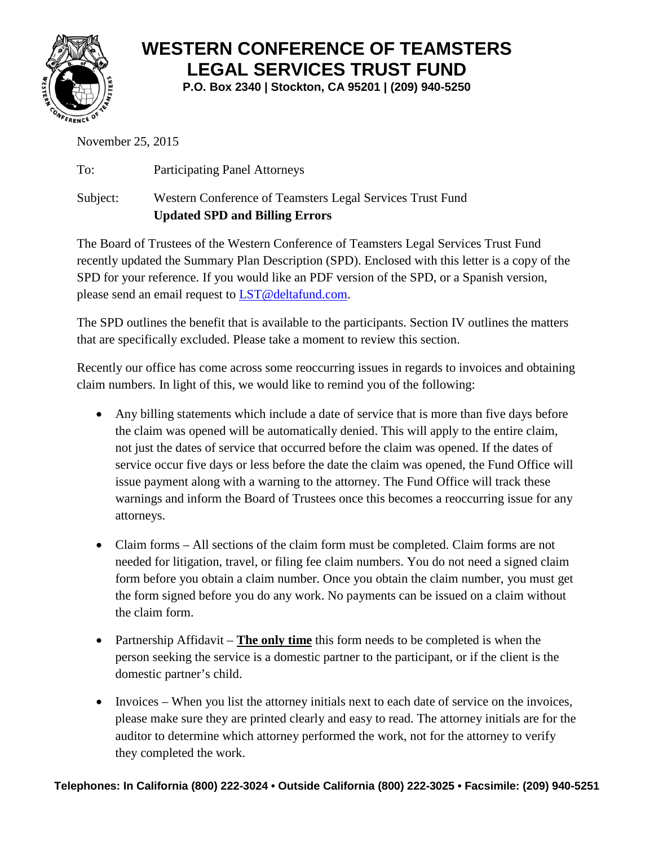

## **WESTERN CONFERENCE OF TEAMSTERS LEGAL SERVICES TRUST FUND**

**P.O. Box 2340 | Stockton, CA 95201 | (209) 940-5250**

November 25, 2015

To: Participating Panel Attorneys Subject: Western Conference of Teamsters Legal Services Trust Fund **Updated SPD and Billing Errors**

The Board of Trustees of the Western Conference of Teamsters Legal Services Trust Fund recently updated the Summary Plan Description (SPD). Enclosed with this letter is a copy of the SPD for your reference. If you would like an PDF version of the SPD, or a Spanish version, please send an email request to [LST@deltafund.com.](mailto:LST@deltafund.com)

The SPD outlines the benefit that is available to the participants. Section IV outlines the matters that are specifically excluded. Please take a moment to review this section.

Recently our office has come across some reoccurring issues in regards to invoices and obtaining claim numbers. In light of this, we would like to remind you of the following:

- Any billing statements which include a date of service that is more than five days before the claim was opened will be automatically denied. This will apply to the entire claim, not just the dates of service that occurred before the claim was opened. If the dates of service occur five days or less before the date the claim was opened, the Fund Office will issue payment along with a warning to the attorney. The Fund Office will track these warnings and inform the Board of Trustees once this becomes a reoccurring issue for any attorneys.
- Claim forms All sections of the claim form must be completed. Claim forms are not needed for litigation, travel, or filing fee claim numbers. You do not need a signed claim form before you obtain a claim number. Once you obtain the claim number, you must get the form signed before you do any work. No payments can be issued on a claim without the claim form.
- Partnership Affidavit **The only time** this form needs to be completed is when the person seeking the service is a domestic partner to the participant, or if the client is the domestic partner's child.
- Invoices When you list the attorney initials next to each date of service on the invoices, please make sure they are printed clearly and easy to read. The attorney initials are for the auditor to determine which attorney performed the work, not for the attorney to verify they completed the work.